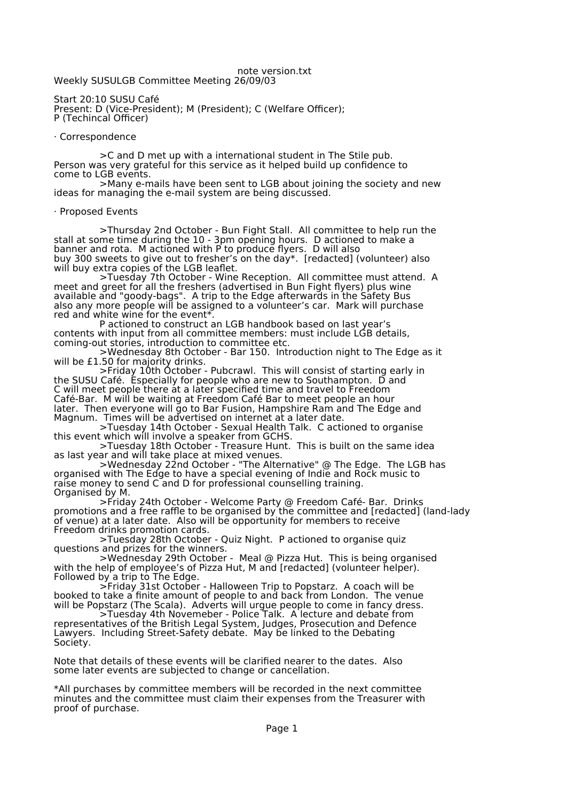## note version.txt

Weekly SUSULGB Committee Meeting 26/09/03

Start 20:10 SUSU Café Present: D (Vice-President); M (President); C (Welfare Officer); P (Techincal Officer)

## · Correspondence

>C and D met up with a international student in The Stile pub. Person was very grateful for this service as it helped build up confidence to come to LGB events.

>Many e-mails have been sent to LGB about joining the society and new ideas for managing the e-mail system are being discussed.

## · Proposed Events

>Thursday 2nd October - Bun Fight Stall. All committee to help run the stall at some time during the 10 - 3pm opening hours. D actioned to make a banner and rota. M actioned with P to produce flyers. D will also buy 300 sweets to give out to fresher's on the day\*. [redacted] (volunteer) also will buy extra copies of the LGB leaflet.

>Tuesday 7th October - Wine Reception. All committee must attend. A meet and greet for all the freshers (advertised in Bun Fight flyers) plus wine available and "goody-bags". A trip to the Edge afterwards in the Safety Bus also any more people will be assigned to a volunteer's car. Mark will purchase red and white wine for the event\*.

P actioned to construct an LGB handbook based on last year's contents with input from all committee members: must include LGB details, coming-out stories, introduction to committee etc.

>Wednesday 8th October - Bar 150. Introduction night to The Edge as it will be £1.50 for majority drinks.

>Friday 10th October - Pubcrawl. This will consist of starting early in the SUSU Café. Especially for people who are new to Southampton. D and C will meet people there at a later specified time and travel to Freedom Café-Bar. M will be waiting at Freedom Café Bar to meet people an hour later. Then everyone will go to Bar Fusion, Hampshire Ram and The Edge and Magnum. Times will be advertised on internet at a later date.

>Tuesday 14th October - Sexual Health Talk. C actioned to organise this event which will involve a speaker from GCHS.

>Tuesday 18th October - Treasure Hunt. This is built on the same idea as last year and will take place at mixed venues.

>Wednesday 22nd October - "The Alternative" @ The Edge. The LGB has organised with The Edge to have a special evening of Indie and Rock music to raise money to send C and D for professional counselling training. Organised by M.

>Friday 24th October - Welcome Party @ Freedom Café- Bar. Drinks promotions and a free raffle to be organised by the committee and [redacted] (land-lady of venue) at a later date. Also will be opportunity for members to receive Freedom drinks promotion cards.

>Tuesday 28th October - Quiz Night. P actioned to organise quiz questions and prizes for the winners.

>Wednesday 29th October - Meal @ Pizza Hut. This is being organised with the help of employee's of Pizza Hut, M and [redacted] (volunteer helper). Followed by a trip to The Edge.

>Friday 31st October - Halloween Trip to Popstarz. A coach will be booked to take a finite amount of people to and back from London. The venue will be Popstarz (The Scala). Adverts will urgue people to come in fancy dress.

>Tuesday 4th Novemeber - Police Talk. A lecture and debate from representatives of the British Legal System, Judges, Prosecution and Defence Lawyers. Including Street-Safety debate. May be linked to the Debating Society.

Note that details of these events will be clarified nearer to the dates. Also some later events are subjected to change or cancellation.

\*All purchases by committee members will be recorded in the next committee minutes and the committee must claim their expenses from the Treasurer with proof of purchase.